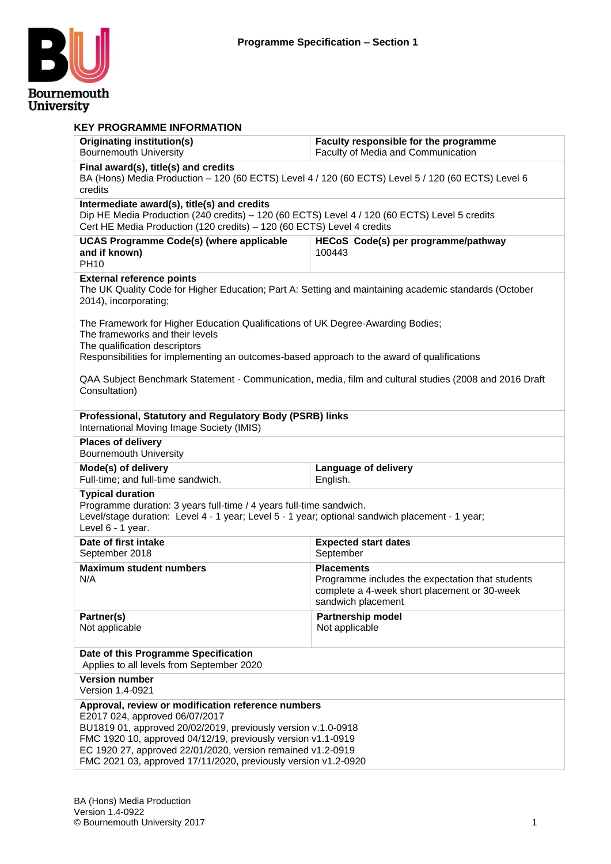

| <b>KEY PROGRAMME INFORMATION</b>                                                                                                                                                                                                                                                                                                                       |                                                                                                                                             |
|--------------------------------------------------------------------------------------------------------------------------------------------------------------------------------------------------------------------------------------------------------------------------------------------------------------------------------------------------------|---------------------------------------------------------------------------------------------------------------------------------------------|
| <b>Originating institution(s)</b><br><b>Bournemouth University</b>                                                                                                                                                                                                                                                                                     | Faculty responsible for the programme<br>Faculty of Media and Communication                                                                 |
| Final award(s), title(s) and credits<br>credits                                                                                                                                                                                                                                                                                                        | BA (Hons) Media Production - 120 (60 ECTS) Level 4 / 120 (60 ECTS) Level 5 / 120 (60 ECTS) Level 6                                          |
| Intermediate award(s), title(s) and credits<br>Cert HE Media Production (120 credits) - 120 (60 ECTS) Level 4 credits                                                                                                                                                                                                                                  | Dip HE Media Production (240 credits) - 120 (60 ECTS) Level 4 / 120 (60 ECTS) Level 5 credits                                               |
| <b>UCAS Programme Code(s) (where applicable</b><br>and if known)<br><b>PH10</b>                                                                                                                                                                                                                                                                        | HECoS Code(s) per programme/pathway<br>100443                                                                                               |
| <b>External reference points</b><br>2014), incorporating;                                                                                                                                                                                                                                                                                              | The UK Quality Code for Higher Education; Part A: Setting and maintaining academic standards (October                                       |
| The Framework for Higher Education Qualifications of UK Degree-Awarding Bodies;<br>The frameworks and their levels<br>The qualification descriptors<br>Responsibilities for implementing an outcomes-based approach to the award of qualifications                                                                                                     |                                                                                                                                             |
| Consultation)                                                                                                                                                                                                                                                                                                                                          | QAA Subject Benchmark Statement - Communication, media, film and cultural studies (2008 and 2016 Draft                                      |
| Professional, Statutory and Regulatory Body (PSRB) links<br>International Moving Image Society (IMIS)                                                                                                                                                                                                                                                  |                                                                                                                                             |
| <b>Places of delivery</b><br><b>Bournemouth University</b>                                                                                                                                                                                                                                                                                             |                                                                                                                                             |
| Mode(s) of delivery<br>Full-time; and full-time sandwich.                                                                                                                                                                                                                                                                                              | <b>Language of delivery</b><br>English.                                                                                                     |
| <b>Typical duration</b><br>Programme duration: 3 years full-time / 4 years full-time sandwich.<br>Level/stage duration: Level 4 - 1 year; Level 5 - 1 year; optional sandwich placement - 1 year;<br>Level 6 - 1 year.                                                                                                                                 |                                                                                                                                             |
| Date of first intake<br>September 2018                                                                                                                                                                                                                                                                                                                 | <b>Expected start dates</b><br>September                                                                                                    |
| <b>Maximum student numbers</b><br>N/A                                                                                                                                                                                                                                                                                                                  | <b>Placements</b><br>Programme includes the expectation that students<br>complete a 4-week short placement or 30-week<br>sandwich placement |
| Partner(s)<br>Not applicable                                                                                                                                                                                                                                                                                                                           | <b>Partnership model</b><br>Not applicable                                                                                                  |
| Date of this Programme Specification<br>Applies to all levels from September 2020                                                                                                                                                                                                                                                                      |                                                                                                                                             |
| <b>Version number</b><br>Version 1.4-0921                                                                                                                                                                                                                                                                                                              |                                                                                                                                             |
| Approval, review or modification reference numbers<br>E2017 024, approved 06/07/2017<br>BU1819 01, approved 20/02/2019, previously version v.1.0-0918<br>FMC 1920 10, approved 04/12/19, previously version v1.1-0919<br>EC 1920 27, approved 22/01/2020, version remained v1.2-0919<br>FMC 2021 03, approved 17/11/2020, previously version v1.2-0920 |                                                                                                                                             |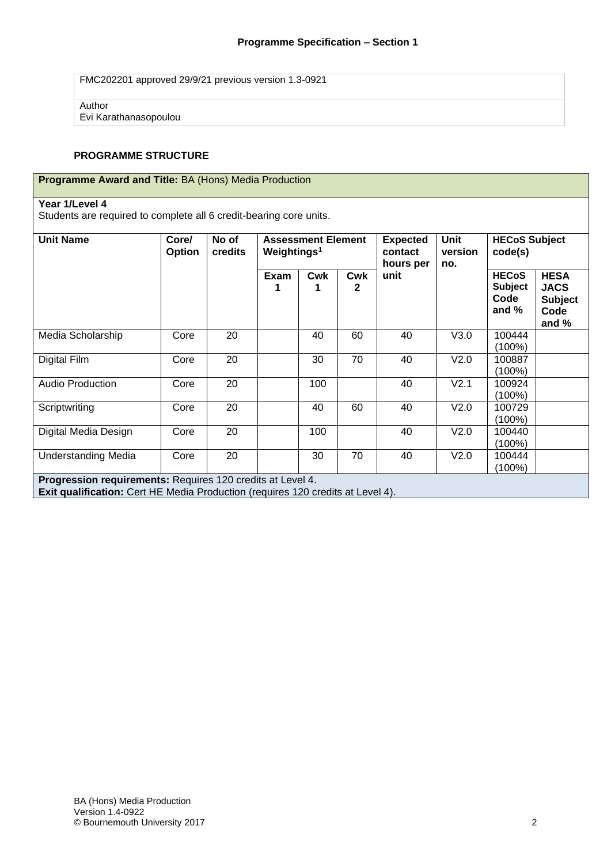FMC202201 approved 29/9/21 previous version 1.3-0921

Author

Evi Karathanasopoulou

#### **PROGRAMME STRUCTURE**

| <b>Programme Award and Title: BA (Hons) Media Production</b> |  |
|--------------------------------------------------------------|--|
|                                                              |  |

#### **Year 1/Level 4**

Students are required to complete all 6 credit-bearing core units.

| <b>Unit Name</b>                                                                                                                                     | Core/<br>Option | No of<br>credits | Weightings <sup>1</sup> | <b>Assessment Element</b> |                 | Unit<br><b>Expected</b><br>version<br>contact<br>hours per<br>no. |      | code(s)                                           | <b>HECoS Subject</b>                                          |  |
|------------------------------------------------------------------------------------------------------------------------------------------------------|-----------------|------------------|-------------------------|---------------------------|-----------------|-------------------------------------------------------------------|------|---------------------------------------------------|---------------------------------------------------------------|--|
|                                                                                                                                                      |                 |                  | <b>Exam</b>             | Cwk                       | <b>Cwk</b><br>2 | unit                                                              |      | <b>HECoS</b><br><b>Subject</b><br>Code<br>and $%$ | <b>HESA</b><br><b>JACS</b><br><b>Subject</b><br>Code<br>and % |  |
| Media Scholarship                                                                                                                                    | Core            | 20               |                         | 40                        | 60              | 40                                                                | V3.0 | 100444<br>(100%)                                  |                                                               |  |
| Digital Film                                                                                                                                         | Core            | 20               |                         | 30                        | 70              | 40                                                                | V2.0 | 100887<br>(100%)                                  |                                                               |  |
| <b>Audio Production</b>                                                                                                                              | Core            | 20               |                         | 100                       |                 | 40                                                                | V2.1 | 100924<br>(100%)                                  |                                                               |  |
| Scriptwriting                                                                                                                                        | Core            | 20               |                         | 40                        | 60              | 40                                                                | V2.0 | 100729<br>(100%)                                  |                                                               |  |
| Digital Media Design                                                                                                                                 | Core            | 20               |                         | 100                       |                 | 40                                                                | V2.0 | 100440<br>(100%)                                  |                                                               |  |
| <b>Understanding Media</b>                                                                                                                           | Core            | 20               |                         | 30                        | 70              | 40                                                                | V2.0 | 100444<br>(100%)                                  |                                                               |  |
| Progression requirements: Requires 120 credits at Level 4.<br><b>Exit qualification:</b> Cert HE Media Production (requires 120 credits at Level 4). |                 |                  |                         |                           |                 |                                                                   |      |                                                   |                                                               |  |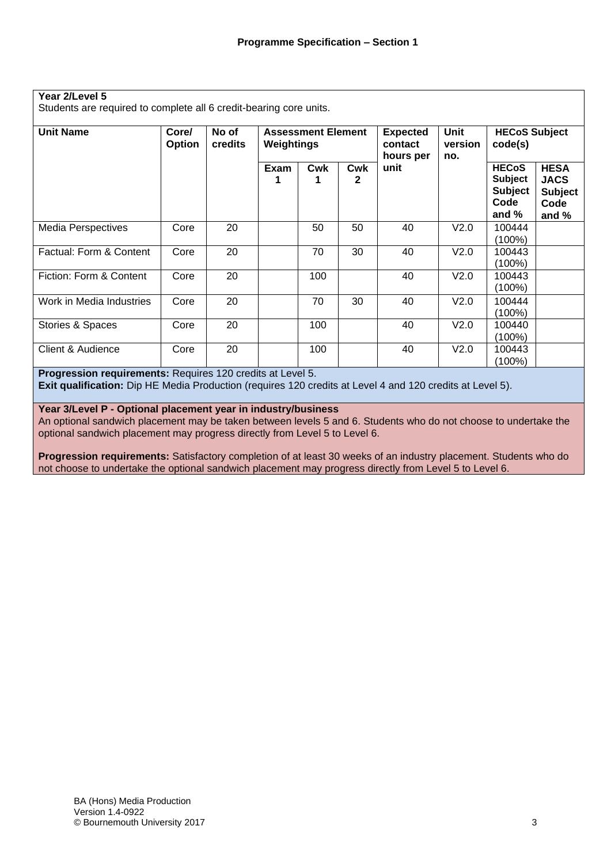Students are required to complete all 6 credit-bearing core units.

| <b>Unit Name</b>          | Core/<br><b>Option</b> | No of<br>credits | Weightings | <b>Assessment Element</b> |                     | <b>Expected</b><br>contact<br>hours per | Unit<br>version<br>no. | <b>HECoS Subject</b><br>code(s)                                     |                                                                 |
|---------------------------|------------------------|------------------|------------|---------------------------|---------------------|-----------------------------------------|------------------------|---------------------------------------------------------------------|-----------------------------------------------------------------|
|                           |                        |                  | Exam       | Cwk                       | Cwk<br>$\mathbf{2}$ | unit                                    |                        | <b>HECoS</b><br><b>Subject</b><br><b>Subject</b><br>Code<br>and $%$ | <b>HESA</b><br><b>JACS</b><br><b>Subject</b><br>Code<br>and $%$ |
| <b>Media Perspectives</b> | Core                   | 20               |            | 50                        | 50                  | 40                                      | V <sub>2.0</sub>       | 100444<br>$(100\%)$                                                 |                                                                 |
| Factual: Form & Content   | Core                   | 20               |            | 70                        | 30                  | 40                                      | V2.0                   | 100443<br>$(100\%)$                                                 |                                                                 |
| Fiction: Form & Content   | Core                   | 20               |            | 100                       |                     | 40                                      | V <sub>2.0</sub>       | 100443<br>(100%)                                                    |                                                                 |
| Work in Media Industries  | Core                   | 20               |            | 70                        | 30                  | 40                                      | V <sub>2.0</sub>       | 100444<br>$(100\%)$                                                 |                                                                 |
| Stories & Spaces          | Core                   | 20               |            | 100                       |                     | 40                                      | V <sub>2.0</sub>       | 100440<br>$(100\%)$                                                 |                                                                 |
| Client & Audience         | Core                   | 20               |            | 100                       |                     | 40                                      | V2.0                   | 100443<br>$(100\%)$                                                 |                                                                 |

**Progression requirements:** Requires 120 credits at Level 5.

**Exit qualification:** Dip HE Media Production (requires 120 credits at Level 4 and 120 credits at Level 5).

**Year 3/Level P - Optional placement year in industry/business**

An optional sandwich placement may be taken between levels 5 and 6. Students who do not choose to undertake the optional sandwich placement may progress directly from Level 5 to Level 6.

**Progression requirements:** Satisfactory completion of at least 30 weeks of an industry placement. Students who do not choose to undertake the optional sandwich placement may progress directly from Level 5 to Level 6.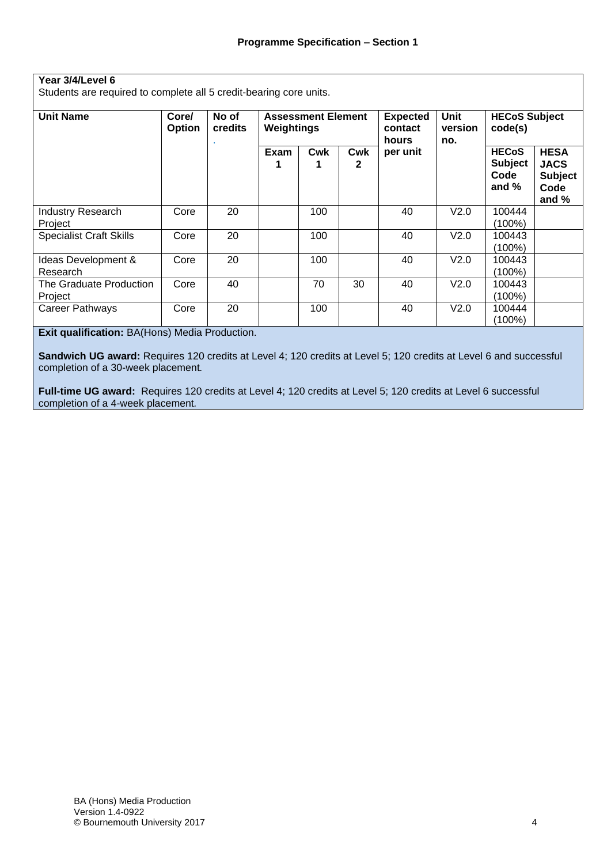#### **Year 3/4/Level 6**

Students are required to complete all 5 credit-bearing core units.

| <b>Unit Name</b>                    | Core/<br>Option | No of<br>credits | Weightings | <b>Assessment Element</b> |          | <b>Expected</b><br>contact<br>hours | <b>Unit</b><br>version<br>no. | <b>HECoS Subject</b><br>code(s)                   |                                                                 |
|-------------------------------------|-----------------|------------------|------------|---------------------------|----------|-------------------------------------|-------------------------------|---------------------------------------------------|-----------------------------------------------------------------|
|                                     |                 |                  | Exam       | Cwk                       | Cwk<br>2 | per unit                            |                               | <b>HECoS</b><br><b>Subject</b><br>Code<br>and $%$ | <b>HESA</b><br><b>JACS</b><br><b>Subject</b><br>Code<br>and $%$ |
| <b>Industry Research</b><br>Project | Core            | 20               |            | 100                       |          | 40                                  | V2.0                          | 100444<br>(100%)                                  |                                                                 |
| <b>Specialist Craft Skills</b>      | Core            | 20               |            | 100                       |          | 40                                  | V2.0                          | 100443<br>(100%)                                  |                                                                 |
| Ideas Development &<br>Research     | Core            | 20               |            | 100                       |          | 40                                  | V <sub>2.0</sub>              | 100443<br>(100%)                                  |                                                                 |
| The Graduate Production<br>Project  | Core            | 40               |            | 70                        | 30       | 40                                  | V2.0                          | 100443<br>(100%)                                  |                                                                 |
| <b>Career Pathways</b>              | Core            | 20               |            | 100                       |          | 40                                  | V <sub>2.0</sub>              | 100444<br>(100%)                                  |                                                                 |

**Exit qualification:** BA(Hons) Media Production.

**Sandwich UG award:** Requires 120 credits at Level 4; 120 credits at Level 5; 120 credits at Level 6 and successful completion of a 30-week placement*.*

**Full-time UG award:** Requires 120 credits at Level 4; 120 credits at Level 5; 120 credits at Level 6 successful completion of a 4-week placement*.*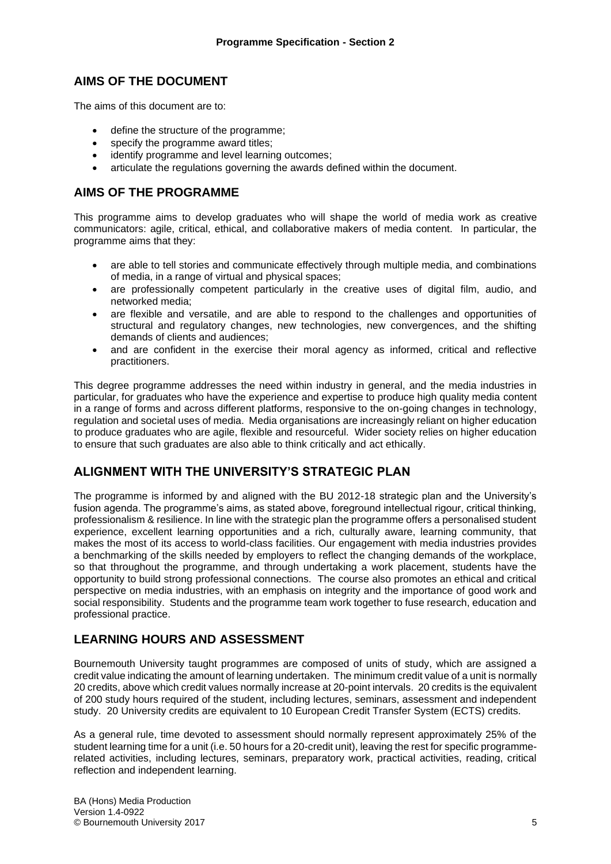# **AIMS OF THE DOCUMENT**

The aims of this document are to:

- define the structure of the programme;
- specify the programme award titles;
- identify programme and level learning outcomes:
- articulate the regulations governing the awards defined within the document.

#### **AIMS OF THE PROGRAMME**

This programme aims to develop graduates who will shape the world of media work as creative communicators: agile, critical, ethical, and collaborative makers of media content. In particular, the programme aims that they:

- are able to tell stories and communicate effectively through multiple media, and combinations of media, in a range of virtual and physical spaces;
- are professionally competent particularly in the creative uses of digital film, audio, and networked media;
- are flexible and versatile, and are able to respond to the challenges and opportunities of structural and regulatory changes, new technologies, new convergences, and the shifting demands of clients and audiences;
- and are confident in the exercise their moral agency as informed, critical and reflective practitioners.

This degree programme addresses the need within industry in general, and the media industries in particular, for graduates who have the experience and expertise to produce high quality media content in a range of forms and across different platforms, responsive to the on-going changes in technology, regulation and societal uses of media. Media organisations are increasingly reliant on higher education to produce graduates who are agile, flexible and resourceful. Wider society relies on higher education to ensure that such graduates are also able to think critically and act ethically.

## **ALIGNMENT WITH THE UNIVERSITY'S STRATEGIC PLAN**

The programme is informed by and aligned with the BU 2012-18 strategic plan and the University's fusion agenda. The programme's aims, as stated above, foreground intellectual rigour, critical thinking, professionalism & resilience. In line with the strategic plan the programme offers a personalised student experience, excellent learning opportunities and a rich, culturally aware, learning community, that makes the most of its access to world-class facilities. Our engagement with media industries provides a benchmarking of the skills needed by employers to reflect the changing demands of the workplace, so that throughout the programme, and through undertaking a work placement, students have the opportunity to build strong professional connections. The course also promotes an ethical and critical perspective on media industries, with an emphasis on integrity and the importance of good work and social responsibility. Students and the programme team work together to fuse research, education and professional practice.

# **LEARNING HOURS AND ASSESSMENT**

Bournemouth University taught programmes are composed of units of study, which are assigned a credit value indicating the amount of learning undertaken. The minimum credit value of a unit is normally 20 credits, above which credit values normally increase at 20-point intervals. 20 credits is the equivalent of 200 study hours required of the student, including lectures, seminars, assessment and independent study. 20 University credits are equivalent to 10 European Credit Transfer System (ECTS) credits.

As a general rule, time devoted to assessment should normally represent approximately 25% of the student learning time for a unit (i.e. 50 hours for a 20-credit unit), leaving the rest for specific programmerelated activities, including lectures, seminars, preparatory work, practical activities, reading, critical reflection and independent learning.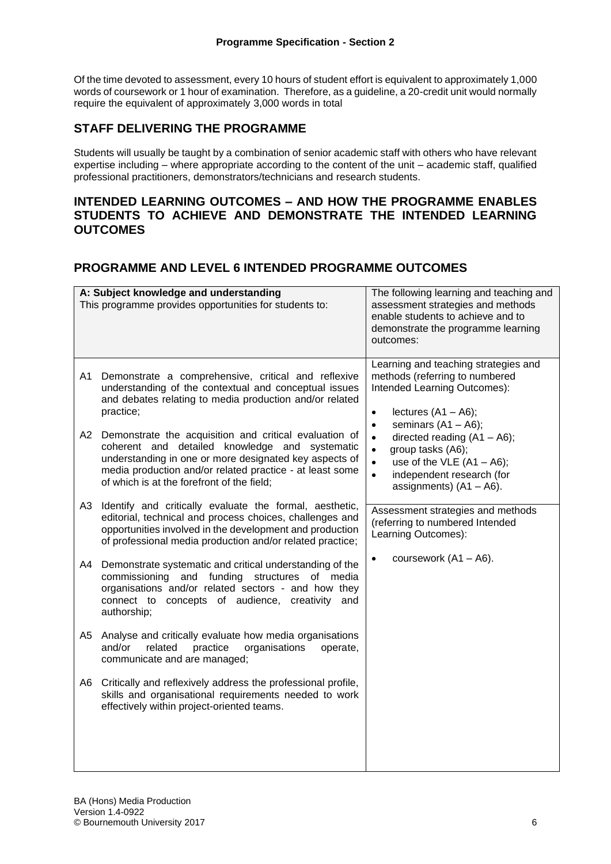Of the time devoted to assessment, every 10 hours of student effort is equivalent to approximately 1,000 words of coursework or 1 hour of examination. Therefore, as a guideline, a 20-credit unit would normally require the equivalent of approximately 3,000 words in total

# **STAFF DELIVERING THE PROGRAMME**

Students will usually be taught by a combination of senior academic staff with others who have relevant expertise including – where appropriate according to the content of the unit – academic staff, qualified professional practitioners, demonstrators/technicians and research students.

## **INTENDED LEARNING OUTCOMES – AND HOW THE PROGRAMME ENABLES STUDENTS TO ACHIEVE AND DEMONSTRATE THE INTENDED LEARNING OUTCOMES**

# **PROGRAMME AND LEVEL 6 INTENDED PROGRAMME OUTCOMES**

|           | A: Subject knowledge and understanding<br>This programme provides opportunities for students to:                                                                                                                                                                                                                                                                                                                                                               | The following learning and teaching and<br>assessment strategies and methods<br>enable students to achieve and to<br>demonstrate the programme learning<br>outcomes:                                                                                                                                                                                         |
|-----------|----------------------------------------------------------------------------------------------------------------------------------------------------------------------------------------------------------------------------------------------------------------------------------------------------------------------------------------------------------------------------------------------------------------------------------------------------------------|--------------------------------------------------------------------------------------------------------------------------------------------------------------------------------------------------------------------------------------------------------------------------------------------------------------------------------------------------------------|
| A1<br>A2. | Demonstrate a comprehensive, critical and reflexive<br>understanding of the contextual and conceptual issues<br>and debates relating to media production and/or related<br>practice;<br>Demonstrate the acquisition and critical evaluation of<br>coherent and detailed knowledge and systematic<br>understanding in one or more designated key aspects of<br>media production and/or related practice - at least some                                         | Learning and teaching strategies and<br>methods (referring to numbered<br>Intended Learning Outcomes):<br>lectures $(A1 - A6)$ ;<br>$\bullet$<br>seminars $(A1 - A6)$ ;<br>$\bullet$<br>directed reading $(A1 - A6)$ ;<br>$\bullet$<br>group tasks (A6);<br>$\bullet$<br>use of the VLE $(A1 - A6)$ ;<br>$\bullet$<br>independent research (for<br>$\bullet$ |
| A3.<br>A4 | of which is at the forefront of the field;<br>Identify and critically evaluate the formal, aesthetic,<br>editorial, technical and process choices, challenges and<br>opportunities involved in the development and production<br>of professional media production and/or related practice;<br>Demonstrate systematic and critical understanding of the<br>commissioning and funding structures of media<br>organisations and/or related sectors - and how they | assignments) $(A1 - A6)$ .<br>Assessment strategies and methods<br>(referring to numbered Intended<br>Learning Outcomes):<br>coursework $(A1 - A6)$ .                                                                                                                                                                                                        |
| A5<br>A6  | connect to concepts of audience, creativity<br>and<br>authorship;<br>Analyse and critically evaluate how media organisations<br>practice<br>organisations<br>and/or<br>related<br>operate,<br>communicate and are managed;<br>Critically and reflexively address the professional profile,                                                                                                                                                                     |                                                                                                                                                                                                                                                                                                                                                              |
|           | skills and organisational requirements needed to work<br>effectively within project-oriented teams.                                                                                                                                                                                                                                                                                                                                                            |                                                                                                                                                                                                                                                                                                                                                              |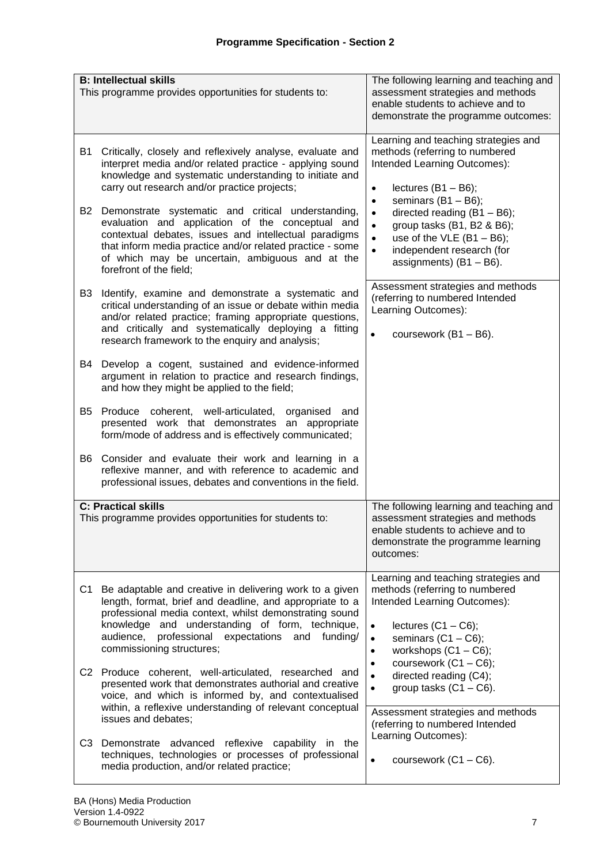|                | <b>B: Intellectual skills</b><br>This programme provides opportunities for students to:                                                                                                                                                                                                                              | The following learning and teaching and<br>assessment strategies and methods<br>enable students to achieve and to<br>demonstrate the programme outcomes:                                                                     |
|----------------|----------------------------------------------------------------------------------------------------------------------------------------------------------------------------------------------------------------------------------------------------------------------------------------------------------------------|------------------------------------------------------------------------------------------------------------------------------------------------------------------------------------------------------------------------------|
| B1             | Critically, closely and reflexively analyse, evaluate and<br>interpret media and/or related practice - applying sound<br>knowledge and systematic understanding to initiate and<br>carry out research and/or practice projects;                                                                                      | Learning and teaching strategies and<br>methods (referring to numbered<br>Intended Learning Outcomes):<br>lectures $(B1 - B6)$ ;<br>$\bullet$<br>seminars $(B1 - B6)$ ;<br>$\bullet$                                         |
| B2             | Demonstrate systematic and critical understanding,<br>evaluation and application of the conceptual and<br>contextual debates, issues and intellectual paradigms<br>that inform media practice and/or related practice - some<br>of which may be uncertain, ambiguous and at the<br>forefront of the field;           | directed reading $(B1 - B6)$ ;<br>$\bullet$<br>group tasks (B1, B2 & B6);<br>$\bullet$<br>$\bullet$<br>use of the VLE $(B1 - B6)$ ;<br>$\bullet$<br>independent research (for<br>assignments) $(B1 - B6)$ .                  |
| B3             | Identify, examine and demonstrate a systematic and<br>critical understanding of an issue or debate within media<br>and/or related practice; framing appropriate questions,<br>and critically and systematically deploying a fitting<br>research framework to the enquiry and analysis;                               | Assessment strategies and methods<br>(referring to numbered Intended<br>Learning Outcomes):<br>$\bullet$<br>coursework (B1 - B6).                                                                                            |
| B4             | Develop a cogent, sustained and evidence-informed<br>argument in relation to practice and research findings,<br>and how they might be applied to the field;                                                                                                                                                          |                                                                                                                                                                                                                              |
| B5             | Produce coherent, well-articulated, organised<br>and<br>presented work that demonstrates an appropriate<br>form/mode of address and is effectively communicated;                                                                                                                                                     |                                                                                                                                                                                                                              |
| B6             | Consider and evaluate their work and learning in a<br>reflexive manner, and with reference to academic and<br>professional issues, debates and conventions in the field.                                                                                                                                             |                                                                                                                                                                                                                              |
|                | <b>C: Practical skills</b><br>This programme provides opportunities for students to:                                                                                                                                                                                                                                 | The following learning and teaching and<br>assessment strategies and methods<br>enable students to achieve and to<br>demonstrate the programme learning<br>outcomes:                                                         |
| C1             | Be adaptable and creative in delivering work to a given<br>length, format, brief and deadline, and appropriate to a<br>professional media context, whilst demonstrating sound<br>knowledge and understanding of form, technique,<br>audience, professional expectations<br>and funding/<br>commissioning structures; | Learning and teaching strategies and<br>methods (referring to numbered<br>Intended Learning Outcomes):<br>lectures $(C1 - C6)$ ;<br>$\bullet$<br>seminars $(C1 - C6)$ ;<br>$\bullet$<br>workshops $(C1 - C6)$ ;<br>$\bullet$ |
|                | C2 Produce coherent, well-articulated, researched and<br>presented work that demonstrates authorial and creative<br>voice, and which is informed by, and contextualised<br>within, a reflexive understanding of relevant conceptual                                                                                  | coursework (C1 - C6);<br>$\bullet$<br>directed reading (C4);<br>$\bullet$<br>group tasks $(C1 - C6)$ .<br>$\bullet$                                                                                                          |
| C <sub>3</sub> | issues and debates;<br>Demonstrate advanced reflexive capability in the<br>techniques, technologies or processes of professional<br>media production, and/or related practice;                                                                                                                                       | Assessment strategies and methods<br>(referring to numbered Intended<br>Learning Outcomes):<br>$\bullet$<br>coursework $(C1 - C6)$ .                                                                                         |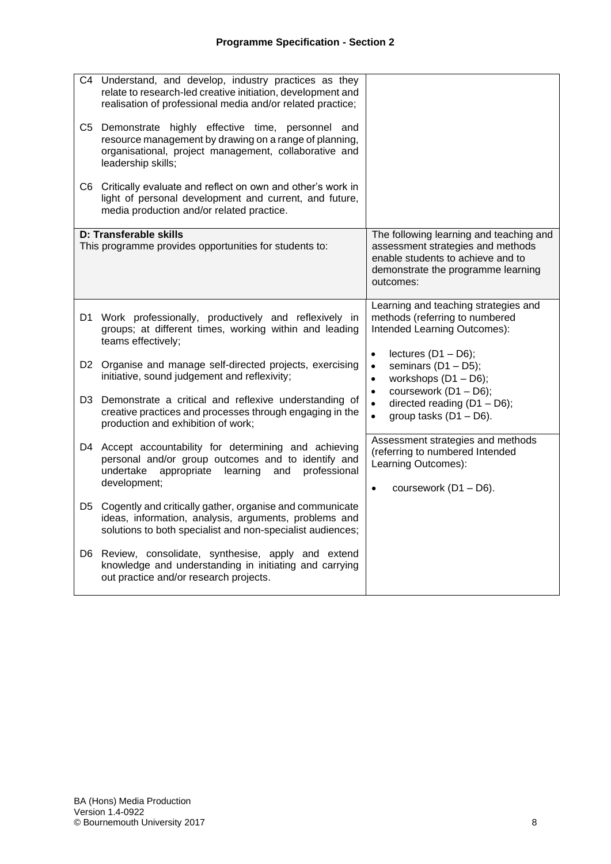|                | C4 Understand, and develop, industry practices as they<br>relate to research-led creative initiation, development and<br>realisation of professional media and/or related practice;          |                                                                                                                                                                      |
|----------------|----------------------------------------------------------------------------------------------------------------------------------------------------------------------------------------------|----------------------------------------------------------------------------------------------------------------------------------------------------------------------|
|                | C5 Demonstrate highly effective time, personnel and<br>resource management by drawing on a range of planning,<br>organisational, project management, collaborative and<br>leadership skills; |                                                                                                                                                                      |
|                | C6 Critically evaluate and reflect on own and other's work in<br>light of personal development and current, and future,<br>media production and/or related practice.                         |                                                                                                                                                                      |
|                | D: Transferable skills<br>This programme provides opportunities for students to:                                                                                                             | The following learning and teaching and<br>assessment strategies and methods<br>enable students to achieve and to<br>demonstrate the programme learning<br>outcomes: |
| D1.            | Work professionally, productively and reflexively in<br>groups; at different times, working within and leading<br>teams effectively;                                                         | Learning and teaching strategies and<br>methods (referring to numbered<br>Intended Learning Outcomes):                                                               |
|                | D2 Organise and manage self-directed projects, exercising<br>initiative, sound judgement and reflexivity;                                                                                    | lectures $(D1 - D6)$ ;<br>$\bullet$<br>seminars $(D1 - D5)$ ;<br>$\bullet$<br>workshops $(D1 - D6)$ ;<br>$\bullet$                                                   |
| D <sub>3</sub> | Demonstrate a critical and reflexive understanding of<br>creative practices and processes through engaging in the<br>production and exhibition of work;                                      | coursework (D1 - D6);<br>$\bullet$<br>directed reading $(D1 - D6)$ ;<br>$\bullet$<br>group tasks $(D1 - D6)$ .<br>$\bullet$                                          |
|                | D4 Accept accountability for determining and achieving<br>personal and/or group outcomes and to identify and<br>undertake<br>appropriate<br>learning<br>professional<br>and<br>development;  | Assessment strategies and methods<br>(referring to numbered Intended<br>Learning Outcomes):<br>coursework $(D1 - D6)$ .<br>$\bullet$                                 |
|                | D5 Cogently and critically gather, organise and communicate<br>ideas, information, analysis, arguments, problems and<br>solutions to both specialist and non-specialist audiences;           |                                                                                                                                                                      |
| D6.            | Review, consolidate, synthesise, apply and extend<br>knowledge and understanding in initiating and carrying<br>out practice and/or research projects.                                        |                                                                                                                                                                      |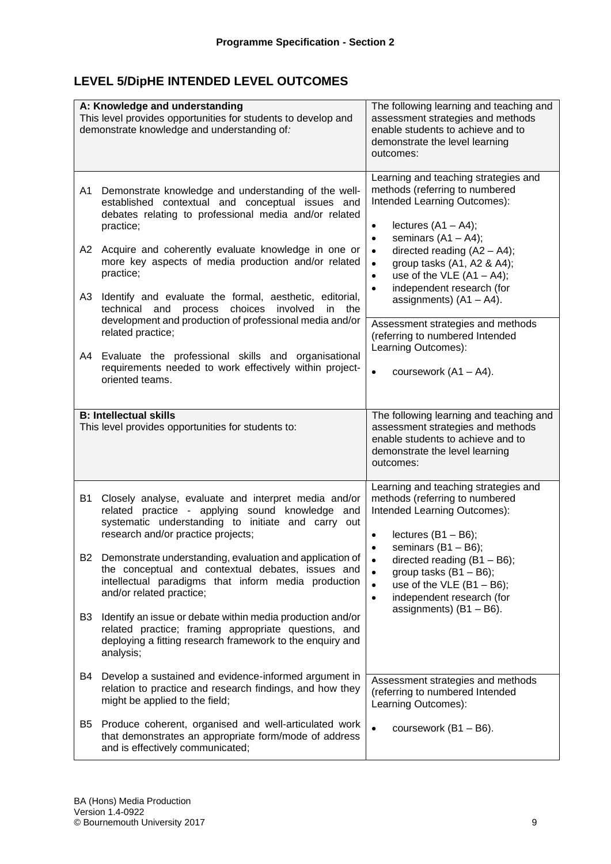# **LEVEL 5/DipHE INTENDED LEVEL OUTCOMES**

|                      | A: Knowledge and understanding<br>This level provides opportunities for students to develop and<br>demonstrate knowledge and understanding of:                                                                                                                                                                                                                                                                                                                                                                                                                     | The following learning and teaching and<br>assessment strategies and methods<br>enable students to achieve and to<br>demonstrate the level learning<br>outcomes:                                                                                                                                                                                                                                                                                                                                   |
|----------------------|--------------------------------------------------------------------------------------------------------------------------------------------------------------------------------------------------------------------------------------------------------------------------------------------------------------------------------------------------------------------------------------------------------------------------------------------------------------------------------------------------------------------------------------------------------------------|----------------------------------------------------------------------------------------------------------------------------------------------------------------------------------------------------------------------------------------------------------------------------------------------------------------------------------------------------------------------------------------------------------------------------------------------------------------------------------------------------|
| A1<br>A2<br>A3<br>A4 | Demonstrate knowledge and understanding of the well-<br>established contextual and conceptual issues and<br>debates relating to professional media and/or related<br>practice;<br>Acquire and coherently evaluate knowledge in one or<br>more key aspects of media production and/or related<br>practice;<br>Identify and evaluate the formal, aesthetic, editorial,<br>process choices involved<br>technical and<br>in the<br>development and production of professional media and/or<br>related practice;<br>Evaluate the professional skills and organisational | Learning and teaching strategies and<br>methods (referring to numbered<br>Intended Learning Outcomes):<br>lectures $(A1 - A4)$ ;<br>$\bullet$<br>seminars $(A1 - A4)$ ;<br>$\bullet$<br>directed reading $(A2 - A4)$ ;<br>$\bullet$<br>group tasks (A1, A2 & A4);<br>$\bullet$<br>use of the VLE $(A1 - A4)$ ;<br>$\bullet$<br>independent research (for<br>$\bullet$<br>assignments) $(A1 - A4)$ .<br>Assessment strategies and methods<br>(referring to numbered Intended<br>Learning Outcomes): |
|                      | requirements needed to work effectively within project-<br>oriented teams.                                                                                                                                                                                                                                                                                                                                                                                                                                                                                         | $\bullet$<br>coursework $(A1 - A4)$ .                                                                                                                                                                                                                                                                                                                                                                                                                                                              |
|                      | <b>B: Intellectual skills</b><br>This level provides opportunities for students to:                                                                                                                                                                                                                                                                                                                                                                                                                                                                                | The following learning and teaching and<br>assessment strategies and methods<br>enable students to achieve and to<br>demonstrate the level learning<br>outcomes:                                                                                                                                                                                                                                                                                                                                   |
| <b>B1</b>            | Closely analyse, evaluate and interpret media and/or<br>related practice - applying sound knowledge and<br>systematic understanding to initiate and carry out<br>research and/or practice projects;                                                                                                                                                                                                                                                                                                                                                                | Learning and teaching strategies and<br>methods (referring to numbered<br>Intended Learning Outcomes):<br>lectures $(B1 - B6)$ ;                                                                                                                                                                                                                                                                                                                                                                   |
|                      | B2 Demonstrate understanding, evaluation and application of<br>the conceptual and contextual debates, issues and<br>intellectual paradigms that inform media production<br>and/or related practice;                                                                                                                                                                                                                                                                                                                                                                | seminars $(B1 - B6)$ ;<br>$\bullet$<br>directed reading $(B1 - B6)$ ;<br>$\bullet$<br>group tasks $(B1 - B6)$ ;<br>$\bullet$<br>use of the VLE $(B1 - B6)$ ;<br>$\bullet$<br>independent research (for<br>$\bullet$                                                                                                                                                                                                                                                                                |
| B3                   | Identify an issue or debate within media production and/or<br>related practice; framing appropriate questions, and<br>deploying a fitting research framework to the enquiry and<br>analysis;                                                                                                                                                                                                                                                                                                                                                                       | assignments) $(B1 - B6)$ .                                                                                                                                                                                                                                                                                                                                                                                                                                                                         |
| B4                   | Develop a sustained and evidence-informed argument in<br>relation to practice and research findings, and how they<br>might be applied to the field;                                                                                                                                                                                                                                                                                                                                                                                                                | Assessment strategies and methods<br>(referring to numbered Intended<br>Learning Outcomes):                                                                                                                                                                                                                                                                                                                                                                                                        |
| B5                   | Produce coherent, organised and well-articulated work<br>that demonstrates an appropriate form/mode of address<br>and is effectively communicated;                                                                                                                                                                                                                                                                                                                                                                                                                 | $\bullet$<br>coursework $(B1 - B6)$ .                                                                                                                                                                                                                                                                                                                                                                                                                                                              |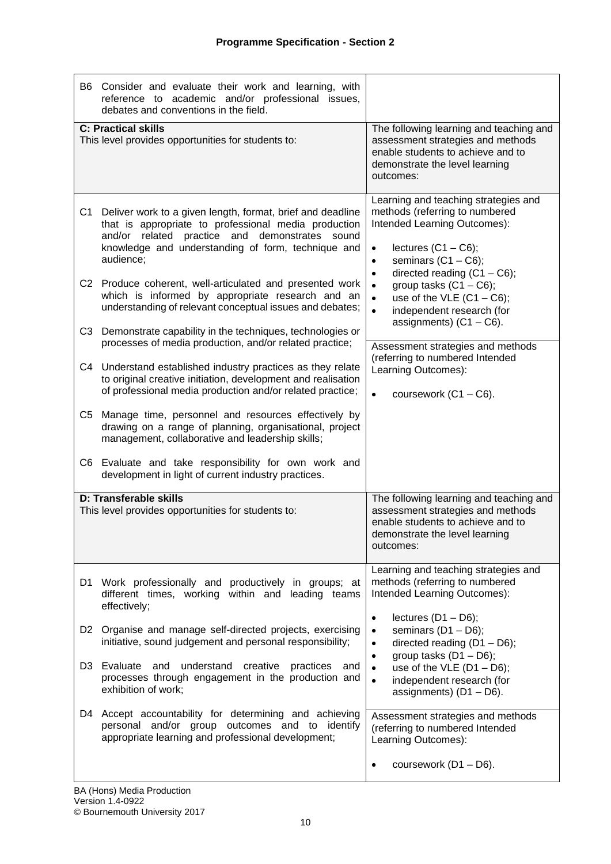|                      | B6 Consider and evaluate their work and learning, with<br>reference to academic and/or professional issues,<br>debates and conventions in the field.                                                                                                                                                                                                                                                                                                                                                                                        |                                                                                                                                                                                                                                                                                                                                                                                                    |
|----------------------|---------------------------------------------------------------------------------------------------------------------------------------------------------------------------------------------------------------------------------------------------------------------------------------------------------------------------------------------------------------------------------------------------------------------------------------------------------------------------------------------------------------------------------------------|----------------------------------------------------------------------------------------------------------------------------------------------------------------------------------------------------------------------------------------------------------------------------------------------------------------------------------------------------------------------------------------------------|
|                      | <b>C: Practical skills</b><br>This level provides opportunities for students to:                                                                                                                                                                                                                                                                                                                                                                                                                                                            | The following learning and teaching and<br>assessment strategies and methods<br>enable students to achieve and to<br>demonstrate the level learning<br>outcomes:                                                                                                                                                                                                                                   |
| C <sub>1</sub><br>C3 | Deliver work to a given length, format, brief and deadline<br>that is appropriate to professional media production<br>and/or related practice and demonstrates sound<br>knowledge and understanding of form, technique and<br>audience;<br>C2 Produce coherent, well-articulated and presented work<br>which is informed by appropriate research and an<br>understanding of relevant conceptual issues and debates;<br>Demonstrate capability in the techniques, technologies or<br>processes of media production, and/or related practice; | Learning and teaching strategies and<br>methods (referring to numbered<br>Intended Learning Outcomes):<br>lectures $(C1 - C6)$ ;<br>$\bullet$<br>seminars $(C1 - C6)$ ;<br>$\bullet$<br>directed reading $(C1 - C6)$ ;<br>$\bullet$<br>group tasks $(C1 - C6)$ ;<br>$\bullet$<br>use of the VLE $(C1 - C6)$ ;<br>$\bullet$<br>$\bullet$<br>independent research (for<br>assignments) $(C1 - C6)$ . |
|                      | C4 Understand established industry practices as they relate<br>to original creative initiation, development and realisation<br>of professional media production and/or related practice;                                                                                                                                                                                                                                                                                                                                                    | Assessment strategies and methods<br>(referring to numbered Intended<br>Learning Outcomes):<br>coursework $(C1 - C6)$ .<br>$\bullet$                                                                                                                                                                                                                                                               |
| C5                   | Manage time, personnel and resources effectively by<br>drawing on a range of planning, organisational, project<br>management, collaborative and leadership skills;                                                                                                                                                                                                                                                                                                                                                                          |                                                                                                                                                                                                                                                                                                                                                                                                    |
|                      | C6 Evaluate and take responsibility for own work and<br>development in light of current industry practices.                                                                                                                                                                                                                                                                                                                                                                                                                                 |                                                                                                                                                                                                                                                                                                                                                                                                    |
|                      | D: Transferable skills<br>This level provides opportunities for students to:                                                                                                                                                                                                                                                                                                                                                                                                                                                                | The following learning and teaching and<br>assessment strategies and methods<br>enable students to achieve and to<br>demonstrate the level learning<br>outcomes:                                                                                                                                                                                                                                   |
| D1.                  | Work professionally and productively in groups; at<br>different times, working within and leading teams<br>effectively;                                                                                                                                                                                                                                                                                                                                                                                                                     | Learning and teaching strategies and<br>methods (referring to numbered<br>Intended Learning Outcomes):                                                                                                                                                                                                                                                                                             |
| D <sub>3</sub>       | D2 Organise and manage self-directed projects, exercising<br>initiative, sound judgement and personal responsibility;<br>understand<br>Evaluate<br>and<br>creative<br>practices<br>and<br>processes through engagement in the production and                                                                                                                                                                                                                                                                                                | lectures $(D1 - D6)$ ;<br>$\bullet$<br>seminars $(D1 - D6)$ ;<br>$\bullet$<br>directed reading $(D1 - D6)$ ;<br>$\bullet$<br>group tasks $(D1 - D6)$ ;<br>$\bullet$<br>use of the VLE $(D1 - D6)$ ;<br>$\bullet$<br>independent research (for<br>$\bullet$                                                                                                                                         |
| D4                   | exhibition of work;<br>Accept accountability for determining and achieving<br>personal and/or group outcomes and to identify<br>appropriate learning and professional development;                                                                                                                                                                                                                                                                                                                                                          | assignments) $(D1 - D6)$ .<br>Assessment strategies and methods<br>(referring to numbered Intended<br>Learning Outcomes):<br>coursework $(D1 - D6)$ .<br>$\bullet$                                                                                                                                                                                                                                 |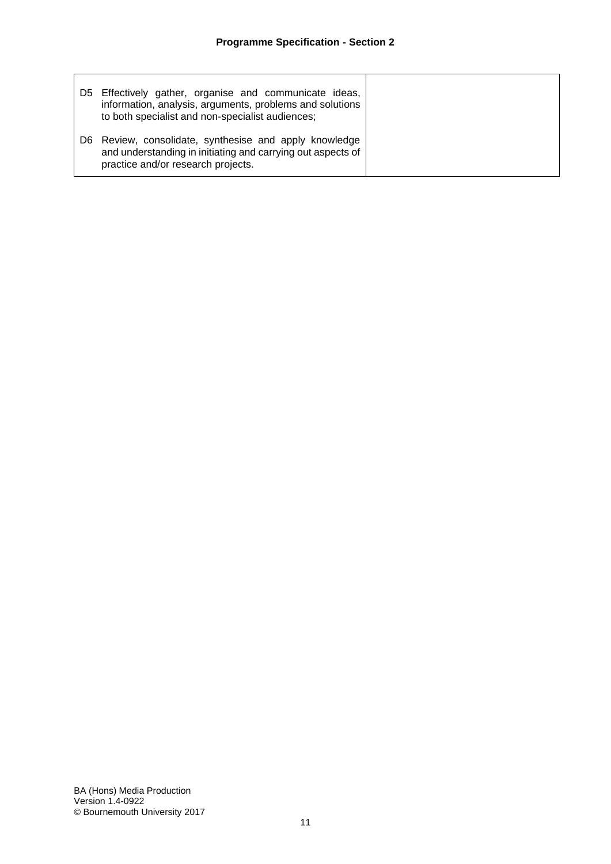| D5. | Effectively gather, organise and communicate ideas,<br>information, analysis, arguments, problems and solutions<br>to both specialist and non-specialist audiences; |
|-----|---------------------------------------------------------------------------------------------------------------------------------------------------------------------|
| D6. | Review, consolidate, synthesise and apply knowledge<br>and understanding in initiating and carrying out aspects of<br>practice and/or research projects.            |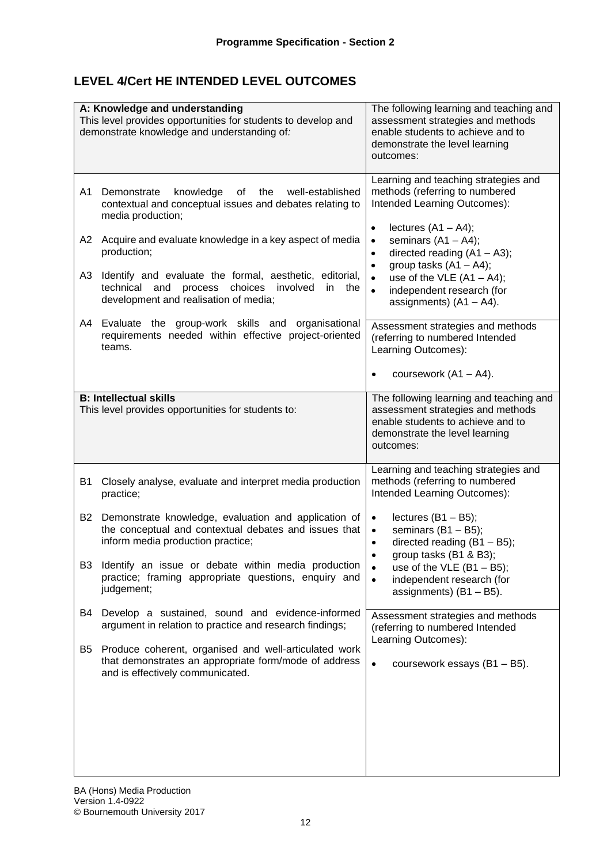# **LEVEL 4/Cert HE INTENDED LEVEL OUTCOMES**

| A: Knowledge and understanding<br>This level provides opportunities for students to develop and<br>demonstrate knowledge and understanding of:                                                                                                                                                                                                                                                                                                                                                                               | The following learning and teaching and<br>assessment strategies and methods<br>enable students to achieve and to<br>demonstrate the level learning<br>outcomes:                                                                                                                                                                                                                                                                                                                                                              |  |  |  |  |  |  |  |
|------------------------------------------------------------------------------------------------------------------------------------------------------------------------------------------------------------------------------------------------------------------------------------------------------------------------------------------------------------------------------------------------------------------------------------------------------------------------------------------------------------------------------|-------------------------------------------------------------------------------------------------------------------------------------------------------------------------------------------------------------------------------------------------------------------------------------------------------------------------------------------------------------------------------------------------------------------------------------------------------------------------------------------------------------------------------|--|--|--|--|--|--|--|
| knowledge of<br>A1<br>Demonstrate<br>the well-established<br>contextual and conceptual issues and debates relating to<br>media production;<br>A2<br>Acquire and evaluate knowledge in a key aspect of media<br>production;<br>A3<br>Identify and evaluate the formal, aesthetic, editorial,<br>process choices involved<br>technical and<br>in<br>the<br>development and realisation of media;<br>A4<br>Evaluate the group-work skills and organisational<br>requirements needed within effective project-oriented<br>teams. | Learning and teaching strategies and<br>methods (referring to numbered<br>Intended Learning Outcomes):<br>lectures $(A1 - A4)$ ;<br>$\bullet$<br>seminars $(A1 - A4)$ ;<br>$\bullet$<br>directed reading $(A1 - A3)$ ;<br>$\bullet$<br>group tasks $(A1 - A4)$ ;<br>$\bullet$<br>use of the VLE $(A1 - A4)$ ;<br>$\bullet$<br>independent research (for<br>$\bullet$<br>assignments) $(A1 - A4)$ .<br>Assessment strategies and methods<br>(referring to numbered Intended<br>Learning Outcomes):<br>coursework $(A1 - A4)$ . |  |  |  |  |  |  |  |
| <b>B: Intellectual skills</b><br>This level provides opportunities for students to:                                                                                                                                                                                                                                                                                                                                                                                                                                          | The following learning and teaching and<br>assessment strategies and methods<br>enable students to achieve and to<br>demonstrate the level learning<br>outcomes:                                                                                                                                                                                                                                                                                                                                                              |  |  |  |  |  |  |  |
| <b>B1</b><br>Closely analyse, evaluate and interpret media production<br>practice;<br><b>B2</b><br>Demonstrate knowledge, evaluation and application of<br>the conceptual and contextual debates and issues that<br>inform media production practice;<br>B <sub>3</sub><br>Identify an issue or debate within media production<br>practice; framing appropriate questions, enquiry and                                                                                                                                       | Learning and teaching strategies and<br>methods (referring to numbered<br>Intended Learning Outcomes):<br>lectures $(B1 - B5)$ ;<br>$\bullet$<br>seminars $(B1 - B5)$ ;<br>$\bullet$<br>directed reading $(B1 - B5)$ ;<br>$\bullet$<br>group tasks (B1 & B3);<br>use of the VLE $(B1 - B5)$ ;<br>$\bullet$<br>independent research (for<br>$\bullet$                                                                                                                                                                          |  |  |  |  |  |  |  |
| judgement;<br>Develop a sustained, sound and evidence-informed<br>B4<br>argument in relation to practice and research findings;<br>Produce coherent, organised and well-articulated work<br>B5<br>that demonstrates an appropriate form/mode of address<br>and is effectively communicated.                                                                                                                                                                                                                                  | assignments) $(B1 - B5)$ .<br>Assessment strategies and methods<br>(referring to numbered Intended<br>Learning Outcomes):<br>coursework essays (B1 - B5).<br>$\bullet$                                                                                                                                                                                                                                                                                                                                                        |  |  |  |  |  |  |  |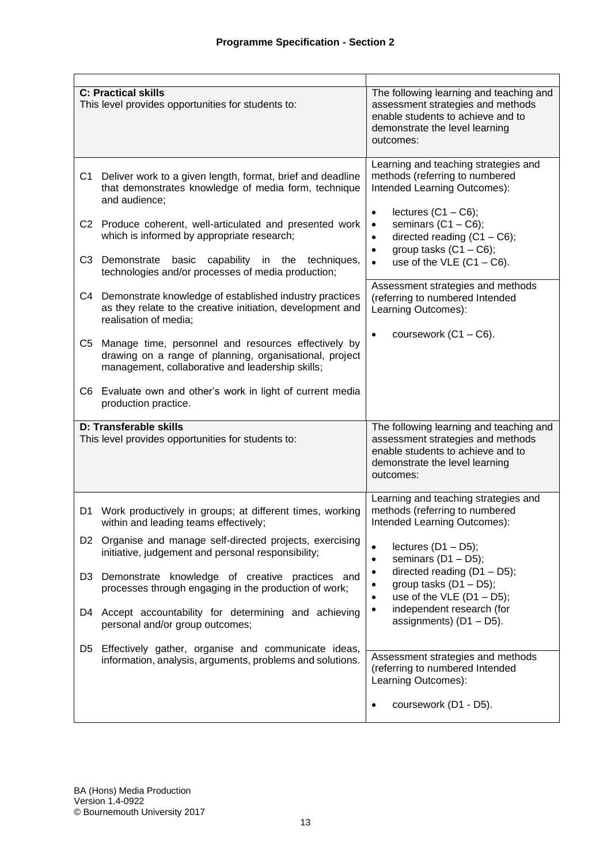|                | <b>C: Practical skills</b><br>This level provides opportunities for students to:                                                                                   | The following learning and teaching and<br>assessment strategies and methods<br>enable students to achieve and to<br>demonstrate the level learning<br>outcomes: |
|----------------|--------------------------------------------------------------------------------------------------------------------------------------------------------------------|------------------------------------------------------------------------------------------------------------------------------------------------------------------|
| C <sub>1</sub> | Deliver work to a given length, format, brief and deadline<br>that demonstrates knowledge of media form, technique<br>and audience;                                | Learning and teaching strategies and<br>methods (referring to numbered<br>Intended Learning Outcomes):<br>lectures $(C1 - C6)$ ;<br>$\bullet$                    |
|                | C2 Produce coherent, well-articulated and presented work<br>which is informed by appropriate research;                                                             | seminars $(C1 - C6)$ ;<br>$\bullet$<br>directed reading $(C1 - C6)$ ;<br>$\bullet$<br>group tasks $(C1 - C6)$ ;<br>$\bullet$                                     |
|                | C3 Demonstrate<br>basic capability in the techniques,<br>technologies and/or processes of media production;                                                        | use of the VLE $(C1 - C6)$ .<br>$\bullet$                                                                                                                        |
|                | C4 Demonstrate knowledge of established industry practices<br>as they relate to the creative initiation, development and<br>realisation of media;                  | Assessment strategies and methods<br>(referring to numbered Intended<br>Learning Outcomes):                                                                      |
| C5             | Manage time, personnel and resources effectively by<br>drawing on a range of planning, organisational, project<br>management, collaborative and leadership skills; | coursework $(C1 - C6)$ .<br>$\bullet$                                                                                                                            |
|                | C6 Evaluate own and other's work in light of current media<br>production practice.                                                                                 |                                                                                                                                                                  |
|                | D: Transferable skills<br>This level provides opportunities for students to:                                                                                       | The following learning and teaching and<br>assessment strategies and methods<br>enable students to achieve and to<br>demonstrate the level learning<br>outcomes: |
| D1             | Work productively in groups; at different times, working<br>within and leading teams effectively;                                                                  | Learning and teaching strategies and<br>methods (referring to numbered<br>Intended Learning Outcomes):                                                           |
|                | D2 Organise and manage self-directed projects, exercising<br>initiative, judgement and personal responsibility;                                                    | lectures $(D1 - D5)$ ;<br>$\bullet$<br>seminars $(D1 - D5)$ ;<br>$\bullet$                                                                                       |
| D3             | Demonstrate knowledge of creative practices and<br>processes through engaging in the production of work;                                                           | directed reading (D1 - D5);<br>$\bullet$<br>group tasks $(D1 - D5)$ ;<br>$\bullet$<br>use of the VLE $(D1 - D5)$ ;<br>$\bullet$                                  |
| D4             | Accept accountability for determining and achieving<br>personal and/or group outcomes;                                                                             | independent research (for<br>$\bullet$<br>assignments) $(D1 - D5)$ .                                                                                             |
| D <sub>5</sub> | Effectively gather, organise and communicate ideas,<br>information, analysis, arguments, problems and solutions.                                                   | Assessment strategies and methods<br>(referring to numbered Intended<br>Learning Outcomes):                                                                      |
|                |                                                                                                                                                                    | coursework (D1 - D5).<br>$\bullet$                                                                                                                               |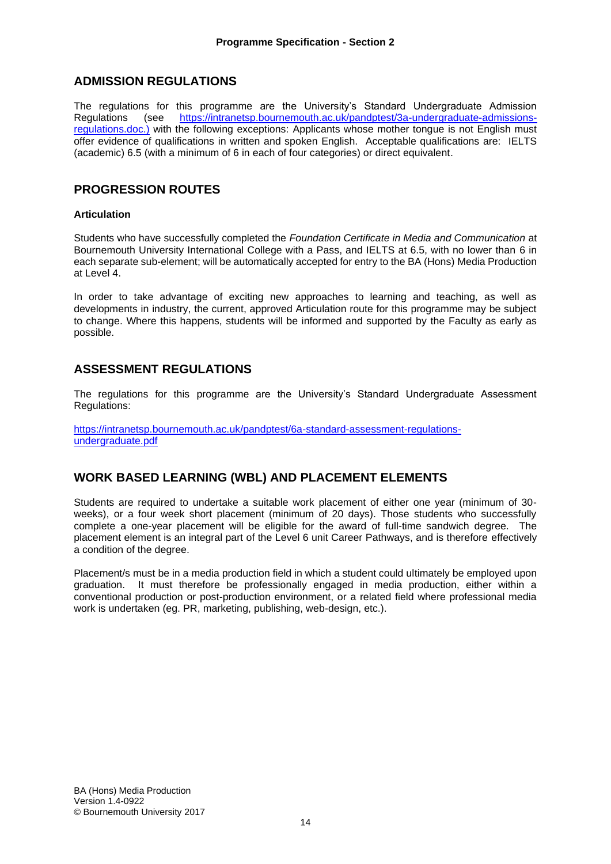# **ADMISSION REGULATIONS**

The regulations for this programme are the University's Standard Undergraduate Admission Regulations (see [https://intranetsp.bournemouth.ac.uk/pandptest/3a-undergraduate-admissions](https://intranetsp.bournemouth.ac.uk/pandptest/3a-undergraduate-admissions-regulations.doc.))[regulations.doc.\)](https://intranetsp.bournemouth.ac.uk/pandptest/3a-undergraduate-admissions-regulations.doc.)) with the following exceptions: Applicants whose mother tongue is not English must offer evidence of qualifications in written and spoken English. Acceptable qualifications are: IELTS (academic) 6.5 (with a minimum of 6 in each of four categories) or direct equivalent.

## **PROGRESSION ROUTES**

#### **Articulation**

Students who have successfully completed the *Foundation Certificate in Media and Communication* at Bournemouth University International College with a Pass, and IELTS at 6.5, with no lower than 6 in each separate sub-element; will be automatically accepted for entry to the BA (Hons) Media Production at Level 4.

In order to take advantage of exciting new approaches to learning and teaching, as well as developments in industry, the current, approved Articulation route for this programme may be subject to change. Where this happens, students will be informed and supported by the Faculty as early as possible.

## **ASSESSMENT REGULATIONS**

The regulations for this programme are the University's Standard Undergraduate Assessment Regulations:

[https://intranetsp.bournemouth.ac.uk/pandptest/6a-standard-assessment-regulations](https://intranetsp.bournemouth.ac.uk/pandptest/6a-standard-assessment-regulations-undergraduate.pdf)[undergraduate.pdf](https://intranetsp.bournemouth.ac.uk/pandptest/6a-standard-assessment-regulations-undergraduate.pdf)

## **WORK BASED LEARNING (WBL) AND PLACEMENT ELEMENTS**

Students are required to undertake a suitable work placement of either one year (minimum of 30 weeks), or a four week short placement (minimum of 20 days). Those students who successfully complete a one-year placement will be eligible for the award of full-time sandwich degree. The placement element is an integral part of the Level 6 unit Career Pathways, and is therefore effectively a condition of the degree.

Placement/s must be in a media production field in which a student could ultimately be employed upon graduation. It must therefore be professionally engaged in media production, either within a conventional production or post-production environment, or a related field where professional media work is undertaken (eg. PR, marketing, publishing, web-design, etc.).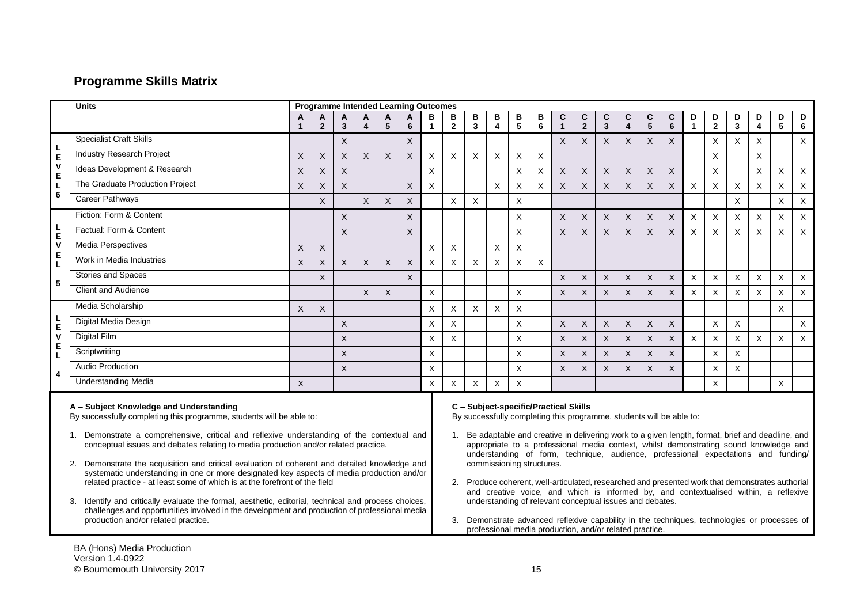# **Programme Skills Matrix**

|                                                                                                                                                                                                                                                                                                         | <b>Units</b>                                                                                                                                                                                                                                                                                                                                                                                                                                                                            | <b>Programme Intended Learning Outcomes</b> |                |                           |                         |                 |                                                                                                                                                                                                                                                                                                           |                |                                                                                                                                                                                                                                                                                                                                                                            |          |                         |                |             |              |              |                         |                           |                           |              |              |              |                |                |          |          |
|---------------------------------------------------------------------------------------------------------------------------------------------------------------------------------------------------------------------------------------------------------------------------------------------------------|-----------------------------------------------------------------------------------------------------------------------------------------------------------------------------------------------------------------------------------------------------------------------------------------------------------------------------------------------------------------------------------------------------------------------------------------------------------------------------------------|---------------------------------------------|----------------|---------------------------|-------------------------|-----------------|-----------------------------------------------------------------------------------------------------------------------------------------------------------------------------------------------------------------------------------------------------------------------------------------------------------|----------------|----------------------------------------------------------------------------------------------------------------------------------------------------------------------------------------------------------------------------------------------------------------------------------------------------------------------------------------------------------------------------|----------|-------------------------|----------------|-------------|--------------|--------------|-------------------------|---------------------------|---------------------------|--------------|--------------|--------------|----------------|----------------|----------|----------|
|                                                                                                                                                                                                                                                                                                         |                                                                                                                                                                                                                                                                                                                                                                                                                                                                                         | A                                           | A              | A                         | A                       | A               | A                                                                                                                                                                                                                                                                                                         | в              | B                                                                                                                                                                                                                                                                                                                                                                          | В        | в                       | в              | В           | C            | C            | C                       | C                         | C                         | C            | D            | D            | D              | D              | D        | D        |
|                                                                                                                                                                                                                                                                                                         | <b>Specialist Craft Skills</b>                                                                                                                                                                                                                                                                                                                                                                                                                                                          | -1                                          | $\overline{2}$ | $\overline{\mathbf{3}}$   | $\overline{\mathbf{4}}$ | $5\phantom{.0}$ | $\bf 6$                                                                                                                                                                                                                                                                                                   | 1              | $\mathbf{2}$                                                                                                                                                                                                                                                                                                                                                               | 3        | $\overline{\mathbf{4}}$ | 5              | $\bf 6$     | $\mathbf{1}$ | $\mathbf{2}$ | $\overline{\mathbf{3}}$ | $\overline{\mathbf{4}}$   | 5                         | 6            | $\mathbf{1}$ | $\bf 2$      | $\mathbf{3}$   | $\overline{4}$ | 5        | 6        |
| L                                                                                                                                                                                                                                                                                                       |                                                                                                                                                                                                                                                                                                                                                                                                                                                                                         |                                             |                | $\times$                  |                         |                 | X                                                                                                                                                                                                                                                                                                         |                |                                                                                                                                                                                                                                                                                                                                                                            |          |                         |                |             | X            | $\times$     | $\times$                | $\times$                  | X                         | $\sf X$      |              | X            | X              | $\times$       |          | $\times$ |
| E<br>$\mathsf{v}$                                                                                                                                                                                                                                                                                       | <b>Industry Research Project</b>                                                                                                                                                                                                                                                                                                                                                                                                                                                        | $\mathsf X$                                 | $\times$       | $\boldsymbol{\mathsf{X}}$ | X                       | X               | $\boldsymbol{\mathsf{X}}$                                                                                                                                                                                                                                                                                 | X              | $\mathsf{X}$                                                                                                                                                                                                                                                                                                                                                               | X        | X                       | Χ              | X           |              |              |                         |                           |                           |              |              | X            |                | $\times$       |          |          |
| E<br>L<br>$6\phantom{1}6$                                                                                                                                                                                                                                                                               | Ideas Development & Research                                                                                                                                                                                                                                                                                                                                                                                                                                                            | $\times$                                    | $\times$       | $\pmb{\times}$            |                         |                 |                                                                                                                                                                                                                                                                                                           | $\sf X$        |                                                                                                                                                                                                                                                                                                                                                                            |          |                         | $\mathsf{X}$   | X           | X            | $\sf X$      | $\times$                | $\boldsymbol{\mathsf{X}}$ | $\times$                  | $\times$     |              | X            |                | $\times$       | X        | X        |
|                                                                                                                                                                                                                                                                                                         | The Graduate Production Project                                                                                                                                                                                                                                                                                                                                                                                                                                                         | $\times$                                    | $\times$       | X                         |                         |                 | X                                                                                                                                                                                                                                                                                                         | $\pmb{\times}$ |                                                                                                                                                                                                                                                                                                                                                                            |          | X                       | Χ              | X           | X            | $\mathsf X$  | X                       | $\boldsymbol{\mathsf{X}}$ | $\boldsymbol{\mathsf{X}}$ | $\mathsf X$  | $\mathsf{X}$ | X            | X              | $\sf X$        | X        | X        |
|                                                                                                                                                                                                                                                                                                         | <b>Career Pathways</b>                                                                                                                                                                                                                                                                                                                                                                                                                                                                  |                                             | $\times$       |                           | $\times$                | $\mathsf X$     | $\boldsymbol{\mathsf{X}}$                                                                                                                                                                                                                                                                                 |                | $\times$                                                                                                                                                                                                                                                                                                                                                                   | X        |                         | X              |             |              |              |                         |                           |                           |              |              |              | X              |                | X        | X        |
|                                                                                                                                                                                                                                                                                                         | Fiction: Form & Content                                                                                                                                                                                                                                                                                                                                                                                                                                                                 |                                             |                | $\mathsf{X}$              |                         |                 | X                                                                                                                                                                                                                                                                                                         |                |                                                                                                                                                                                                                                                                                                                                                                            |          |                         | $\times$       |             | $\times$     | $\sf X$      | $\times$                | $\boldsymbol{\mathsf{X}}$ | $\times$                  | X            | X            | X            | X              | $\times$       | X        | X        |
| L<br>$\mathsf E$                                                                                                                                                                                                                                                                                        | Factual: Form & Content                                                                                                                                                                                                                                                                                                                                                                                                                                                                 |                                             |                | $\times$                  |                         |                 | X                                                                                                                                                                                                                                                                                                         |                |                                                                                                                                                                                                                                                                                                                                                                            |          |                         | X              |             | X            | X            | X                       | $\times$                  | $\times$                  | $\times$     | X            | $\mathsf{X}$ | $\times$       | X              | X        | X        |
| $\mathsf{v}$                                                                                                                                                                                                                                                                                            | <b>Media Perspectives</b>                                                                                                                                                                                                                                                                                                                                                                                                                                                               | X                                           | $\times$       |                           |                         |                 |                                                                                                                                                                                                                                                                                                           | X              | X                                                                                                                                                                                                                                                                                                                                                                          |          | X                       | $\times$       |             |              |              |                         |                           |                           |              |              |              |                |                |          |          |
| E<br>L                                                                                                                                                                                                                                                                                                  | Work in Media Industries                                                                                                                                                                                                                                                                                                                                                                                                                                                                | $\times$                                    | $\times$       | $\boldsymbol{\mathsf{X}}$ | X                       | X               | $\boldsymbol{\mathsf{X}}$                                                                                                                                                                                                                                                                                 | $\sf X$        | $\mathsf{X}$                                                                                                                                                                                                                                                                                                                                                               | Χ        | X                       | X              | $\mathsf X$ |              |              |                         |                           |                           |              |              |              |                |                |          |          |
| 5                                                                                                                                                                                                                                                                                                       | <b>Stories and Spaces</b>                                                                                                                                                                                                                                                                                                                                                                                                                                                               |                                             | $\times$       |                           |                         |                 | $\overline{X}$                                                                                                                                                                                                                                                                                            |                |                                                                                                                                                                                                                                                                                                                                                                            |          |                         |                |             | $\times$     | X            | $\sf X$                 | X                         | X                         | X            | X            | X            | X              | X              | X        | X        |
|                                                                                                                                                                                                                                                                                                         | <b>Client and Audience</b>                                                                                                                                                                                                                                                                                                                                                                                                                                                              |                                             |                |                           | $\times$                | $\mathsf{X}$    |                                                                                                                                                                                                                                                                                                           | $\pmb{\times}$ |                                                                                                                                                                                                                                                                                                                                                                            |          |                         | $\pmb{\times}$ |             | $\mathsf{X}$ | $\sf X$      | $\times$                | $\times$                  | $\times$                  | $\sf X$      | X            | X            | $\pmb{\times}$ | $\times$       | $\times$ | X        |
|                                                                                                                                                                                                                                                                                                         | Media Scholarship                                                                                                                                                                                                                                                                                                                                                                                                                                                                       | X                                           | X              |                           |                         |                 |                                                                                                                                                                                                                                                                                                           | X              | X                                                                                                                                                                                                                                                                                                                                                                          | X        | X                       | X              |             |              |              |                         |                           |                           |              |              |              |                |                | X        |          |
| L<br>E                                                                                                                                                                                                                                                                                                  | Digital Media Design                                                                                                                                                                                                                                                                                                                                                                                                                                                                    |                                             |                | $\mathsf{X}$              |                         |                 |                                                                                                                                                                                                                                                                                                           | $\times$       | X                                                                                                                                                                                                                                                                                                                                                                          |          |                         | X              |             | X            | $\sf X$      | $\times$                | $\times$                  | $\times$                  | $\mathsf{X}$ |              | X            | X              |                |          | X        |
| $\mathsf{v}$                                                                                                                                                                                                                                                                                            | Digital Film                                                                                                                                                                                                                                                                                                                                                                                                                                                                            |                                             |                | $\times$                  |                         |                 |                                                                                                                                                                                                                                                                                                           | X              | X                                                                                                                                                                                                                                                                                                                                                                          |          |                         | X              |             | X            | X            | X                       | X                         | X                         | X            | X            | X            | X              | X              | $\times$ | X        |
| E<br>L                                                                                                                                                                                                                                                                                                  | Scriptwriting                                                                                                                                                                                                                                                                                                                                                                                                                                                                           |                                             |                | $\times$                  |                         |                 |                                                                                                                                                                                                                                                                                                           | X              |                                                                                                                                                                                                                                                                                                                                                                            |          |                         | X              |             | $\times$     | $\mathsf X$  | X                       | $\boldsymbol{\mathsf{X}}$ | X                         | $\sf X$      |              | X            | X              |                |          |          |
| $\overline{\mathbf{4}}$                                                                                                                                                                                                                                                                                 | <b>Audio Production</b>                                                                                                                                                                                                                                                                                                                                                                                                                                                                 |                                             |                | $\sf X$                   |                         |                 |                                                                                                                                                                                                                                                                                                           | X              |                                                                                                                                                                                                                                                                                                                                                                            |          |                         | Χ              |             | X            | X            | X                       | $\boldsymbol{\mathsf{X}}$ | X                         | $\mathsf X$  |              | X            | X              |                |          |          |
|                                                                                                                                                                                                                                                                                                         | <b>Understanding Media</b>                                                                                                                                                                                                                                                                                                                                                                                                                                                              | $\times$                                    |                |                           |                         |                 |                                                                                                                                                                                                                                                                                                           | X              | X                                                                                                                                                                                                                                                                                                                                                                          | $\times$ | X                       | $\times$       |             |              |              |                         |                           |                           |              |              | X            |                |                | X        |          |
| A - Subject Knowledge and Understanding<br>By successfully completing this programme, students will be able to:<br>Demonstrate a comprehensive, critical and reflexive understanding of the contextual and<br>1.<br>conceptual issues and debates relating to media production and/or related practice. |                                                                                                                                                                                                                                                                                                                                                                                                                                                                                         |                                             |                |                           |                         |                 | C - Subject-specific/Practical Skills<br>By successfully completing this programme, students will be able to:<br>Be adaptable and creative in delivering work to a given length, format, brief and deadline, and<br>appropriate to a professional media context, whilst demonstrating sound knowledge and |                |                                                                                                                                                                                                                                                                                                                                                                            |          |                         |                |             |              |              |                         |                           |                           |              |              |              |                |                |          |          |
|                                                                                                                                                                                                                                                                                                         | Demonstrate the acquisition and critical evaluation of coherent and detailed knowledge and<br>2.<br>systematic understanding in one or more designated key aspects of media production and/or<br>related practice - at least some of which is at the forefront of the field<br>Identify and critically evaluate the formal, aesthetic, editorial, technical and process choices,<br>3.<br>challenges and opportunities involved in the development and production of professional media |                                             |                |                           |                         |                 |                                                                                                                                                                                                                                                                                                           |                | understanding of form, technique, audience, professional expectations and funding/<br>commissioning structures.<br>Produce coherent, well-articulated, researched and presented work that demonstrates authorial<br>2.<br>and creative voice, and which is informed by, and contextualised within, a reflexive<br>understanding of relevant conceptual issues and debates. |          |                         |                |             |              |              |                         |                           |                           |              |              |              |                |                |          |          |
|                                                                                                                                                                                                                                                                                                         | production and/or related practice.                                                                                                                                                                                                                                                                                                                                                                                                                                                     |                                             |                |                           |                         |                 | Demonstrate advanced reflexive capability in the techniques, technologies or processes of<br>professional media production, and/or related practice.                                                                                                                                                      |                |                                                                                                                                                                                                                                                                                                                                                                            |          |                         |                |             |              |              |                         |                           |                           |              |              |              |                |                |          |          |